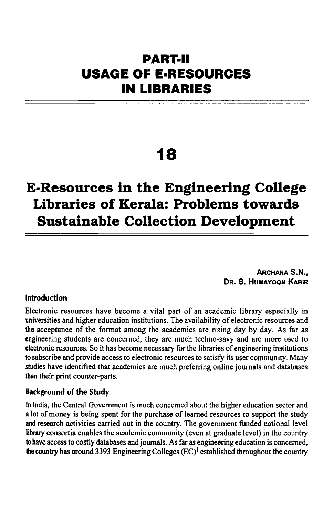# **PART·II USAGE OF E·RESOURCES IN LIBRARIES**

# **18**

# **E-Resources in the Engineering College Libraries of Kerala: Problems towards Sustainable Collection Development**

ARCHANA S.N., DR. S. HUMAYOON KABIR

#### Introduction

Electronic resources have become a vital part of an academic library especially in universities and higher education institutions. The availability of electronic resources and the acceptance of the fonnat among the academics are rising day by day. As far as engineering students are concerned, they are much techno-savy and are more used to electronic resources. So it has become necessary for the libraries of engineering institutions to subscribe and provide access to electronic resources to satisfy its user community. Many studies have identified that academics are much preferring online journals and databases than their print counter-parts.

#### Background of the Study

In India, the Central Government is much concerned about the higher education sector and a lot of money is being spent for the purchase of learned resources to support the study and research activities carried out in the country. The government funded national level library consortia enables the academic community (even at graduate level) in the country to have access to costly databases and journals. As far as engineering education is concerned, the country has around 3393 Engineering Colleges  $(EC)^1$  established throughout the country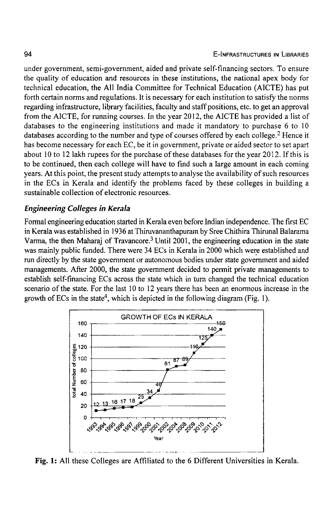under government, semi-government, aided and private self-financing sectors. To ensure the quality of education and resources in these institutions, the national apex body for technical education, the All India Committee for Technical Education (AICTE) has put forth certain norms and regulations. It is necessary for each institution to satisfy the norms regarding infrastructure, library facilities, faculty and staff positions, etc. to get an approval from the AICTE, for running courses. In the year 2012, the AICTE has provided a list of databases to the engineering institutions and made it mandatory to purchase 6 to 10 databases according to the number and type of courses offered by each college.<sup>2</sup> Hence it has become necessary for each EC, be it in government, private or aided sector to set apart about 10 to 12 lakh rupees for the purchase of these databases for the year 2012. If this is to be continued, then each college will have to find such a large amount in each coming years. At this point, the present study attempts to analyse the availability of such resources in the ECs in Kerala and identify the problems faced by these colleges in building a sustainable collection of electronic resources.

#### *Engineering Colleges in Kera/a*

Formal engineering education started in Kerala even before Indian independence. The first EC in Kerala was established in 1936 at Thiruvananthapuram by Sree Chithira Thirunal Balarama Varma, the then Maharaj of Travancore.3 Until 2001, the engineering education in the state was mainly public funded. There were 34 ECs in Kerala in 2000 which were established and run directly by the state government or autonomous bodies under state government and aided managements. After 2000, the state government decided to permit private managements to establish self-financing ECs across the state which in turn changed the technical education scenario of the state. For the last 10 to 12 years there has been an enormous increase in the growth of ECs in the state<sup>4</sup>, which is depicted in the following diagram (Fig. 1).



Fig. 1: All these Colleges are Affiliated to the 6 Different Universities in Kerala.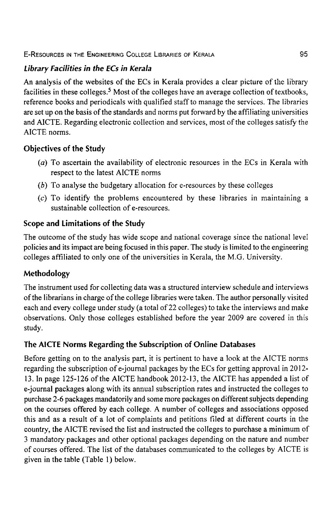E-RESOURCES IN THE ENGINEERING COLLEGE LIBRARIES OF KERALA 95

# *Library Facilities in the ECs in Kerala*

An analysis of the websites of the ECs in Kerala provides a clear picture of the library facilities in these colleges.<sup>5</sup> Most of the colleges have an average collection of textbooks, reference books and periodicals with qualified staff to manage the services. The libraries are set up on the basis of the standards and norms put forward by the affiliating universities and AICTE. Regarding electronic collection and services, most of the colleges satisfy the AICTE norms.

### **Objectives of the Study**

- (a) To ascertain the availability of electronic resources in the ECs in Kerala with respect to the latest AICTE norms
- (b) To analyse the budgetary allocation for e-resources by these colleges
- (c) To identify the problems encountered by these libraries in maintaining a sustainable collection of e-resources.

# **Scope and Limitations of the Study**

The outcome of the study has wide scope and national coverage since the national level policies and its impact are being focused in this paper. The study is limited to the engineering colleges affiliated to only one of the universities in Kerala, the M.O. University.

# **Methodology**

The instrument used for collecting data was a structured interview schedule and interviews of the librarians in charge of the college libraries were taken. The author personally visited each and every college under study (a total of 22 colleges) to take the interviews and make observations. Only those colleges established before the year 2009 are covered in this study.

# **The AICTE Norms Regarding the Subscription of Online Databases**

Before getting on to the analysis part, it is pertinent to have a look at the AICTE norms regarding the subscription of e-journal packages by the ECs for getting approval in 2012- 13. **In** page 125-126 of the AICTE handbook 2012-13, the AICTE has appended a list of e-journal packages along with its annual subscription rates and instructed the colleges to purchase 2-6 packages mandatorily and some more packages on different subjects depending on the courses offered by each college. A number of colleges and associations opposed this and as a result of a lot of complaints and petitions filed at different courts in the country, the AICTE revised the list and instructed the colleges to purchase a minimum of 3 mandatory packages and other optional packages depending on the nature and number of courses offered. The list of the databases communicated to the colleges by AICTE is given in the table (Table 1) below.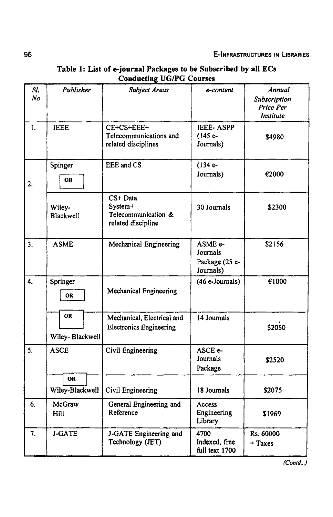| SI.<br>No | Publisher                    | <b>Subject Areas</b>                                             | e-content                                          | Annual<br>Subscription<br>Price Per<br><b>Institute</b> |  |
|-----------|------------------------------|------------------------------------------------------------------|----------------------------------------------------|---------------------------------------------------------|--|
| 1.        | <b>IEEE</b>                  | CE+CS+EEE+<br>Telecommunications and<br>related disciplines      | <b>IEEE-ASPP</b><br>$(145e-$<br>Journals)          | \$4980                                                  |  |
| 2.        | Spinger<br>OR                | EEE and CS                                                       | $(134 e-$<br>Journals)                             | €2000                                                   |  |
|           | Wiley-<br>Blackwell          | CS+ Data<br>System+<br>Telecommunication &<br>related discipline | \$2300                                             |                                                         |  |
| 3.        | <b>ASME</b>                  | Mechanical Engineering                                           | ASME e-<br>Journals<br>Package (25 e-<br>Journals) | \$2156                                                  |  |
| 4.        | Springer<br><b>OR</b>        | <b>Mechanical Engineering</b>                                    | (46 e-Journals)                                    | €1000                                                   |  |
|           | <b>OR</b><br>Wiley-Blackwell | Mechanical, Electrical and<br><b>Electronics Engineering</b>     | 14 Journals                                        | \$2050                                                  |  |
| 5.        | <b>ASCE</b>                  | Civil Engineering                                                | ASCE e-<br>Journals<br>Package                     | \$2520                                                  |  |
|           | <b>OR</b><br>Wiley-Blackwell | Civil Engineering                                                | 18 Journals                                        | \$2075                                                  |  |
| 6.        | McGraw<br>Hill               | General Engineering and<br>Reference                             | Access<br>Engineering<br>Library                   | \$1969                                                  |  |
| 7.        | J-GATE                       | J-GATE Engineering and<br>Technology (JET)                       | 4700<br>Indexed, free<br>full text 1700            | Rs. 60000<br>$+$ Taxes                                  |  |

### Table 1: List of e-journal Packages to be Subscribed by all ECs Conducting UG/PG Courses

96

*(Con/d. . .)*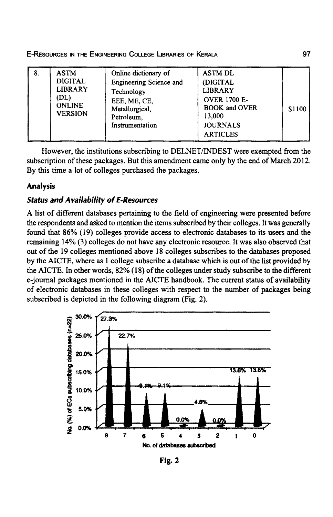| 8. | <b>ASTM</b><br><b>DIGITAL</b><br><b>LIBRARY</b><br>(DL)<br><b>ONLINE</b><br><b>VERSION</b> | Online dictionary of<br>Engineering Science and<br>Technology<br>EEE, ME, CE,<br>Metallurgical,<br>Petroleum,<br>Instrumentation | <b>ASTM DL</b><br>(DIGITAL<br><b>LIBRARY</b><br><b>OVER 1700 E-</b><br><b>BOOK and OVER</b><br>13,000<br><b>JOURNALS</b><br><b>ARTICLES</b> | \$1100 |
|----|--------------------------------------------------------------------------------------------|----------------------------------------------------------------------------------------------------------------------------------|---------------------------------------------------------------------------------------------------------------------------------------------|--------|
|----|--------------------------------------------------------------------------------------------|----------------------------------------------------------------------------------------------------------------------------------|---------------------------------------------------------------------------------------------------------------------------------------------|--------|

E-RESOURCES IN THE ENGINEERING COLLEGE LIBRARIES OF KERALA 97

However, the institutions subscribing to DELNET/INDEST were exempted from the subscription of these packages. But this amendment came only by the end of March 2012. By this time a lot of colleges purchased the packages.

#### **Analysis**

#### **Status and Availability of E-Resources**

A list of different databases pertaining to the field of engineering were presented before the respondents and asked to mention the items subscribed by their colleges. It was generally found that 86% (19) colleges provide access to electronic databases to its users and the remaining 14% (3) colleges do not have any electronic resource. It was also observed that out of the 19 colleges mentioned above 18 colleges subscribes to the databases proposed by the AICTE, where as 1 college subscribe a database which is out of the list provided by the AICTE. In other words, 82% (18) of the colleges under study subscribe to the different e-journal packages mentioned in the AICTE handbook. The current status of availability of electronic databases in these colleges with respect to the number of packages being subscribed is depicted in the following diagram (Fig. 2).



Fig. 2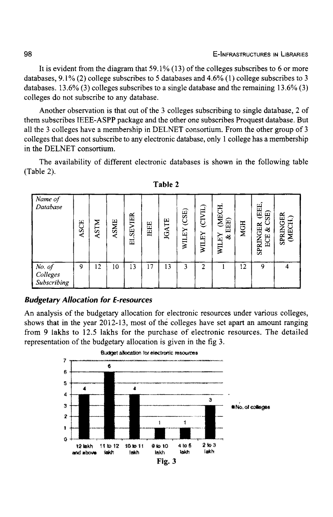It is evident from the diagram that  $59.1\%$  (13) of the colleges subscribes to 6 or more databases, 9.1% (2) college subscribes to 5 databases and 4.6% (1) college subscribes to 3 databases. 13.6% (3) colleges subscribes to a single database and the remaining 13.6% (3) colleges do not subscribe to any database.

Another observation is that out of the 3 colleges subscribing to single database, 2 of them subscribes IEEE-ASPP package and the other one subscribes Proquest database. But all the 3 colleges have a membership in DELNET consortium. From the other group of 3 colleges that does not subscribe to any electronic database, only 1 college has a membership in the DELNET consortium.

The availability of different electronic databases is shown in the following table (Table 2).

| Name of<br>Database               | <b>ASCE</b> | <b>ASTM</b> | <b>ASME</b> | <b>ELSEVIER</b> | IEEE       | <b>JGATE</b> | (CSE)<br>WILEY | (CIVIL)<br>WILEY | (MECH.<br>EEE)<br>WILEY<br>త | <b>MGH</b>      | . (EEE,<br>3E)<br><b>SPRINGER</b><br>એ<br>ECE | <b>SPRINGER</b><br><b>EX</b> |
|-----------------------------------|-------------|-------------|-------------|-----------------|------------|--------------|----------------|------------------|------------------------------|-----------------|-----------------------------------------------|------------------------------|
| No. of<br>Colleges<br>Subscribing | 9           | 12          | 10          | 13              | $\sqrt{7}$ | 13           | 3              | 2                |                              | 12 <sup>2</sup> | 9                                             |                              |

#### Budgetary Allocation for E-resources

An analysis of the budgetary allocation for electronic resources under various colleges, shows that in the year 2012-13, most of the colleges have set apart an amount ranging from 9 lakhs to 12.5 lakhs for the purchase of electronic resources. The detailed representation of the budgetary allocation is given in the fig 3.

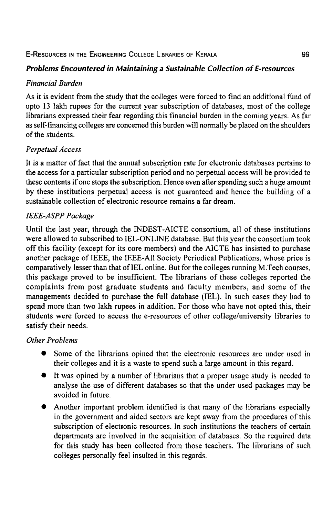#### E-RESOURCES IN THE ENGINEERING COLLEGE LIBRARIES OF KERALA

### *Problems Encountered in Maintaining* a *Sustainable Collection of E-resources*

#### *Financial Burden*

As it is evident from the study that the colleges were forced to find an additional fund of upto 13 lakh rupees for the current year subscription of databases, most of the college librarians expressed their fear regarding this financial burden in the coming years. As far as self-financing colleges are concerned this burden will normally be placed on the shoulders of the students.

#### *Perpetual Access*

It is a matter of fact that the annual subscription rate for electronic databases pertains to the access for a particular subscription period and no perpetual access will be provided to these contents if one stops the subscription. Hence even after spending such a huge amount by these institutions perpetual access is not guaranteed and hence the building of a sustainable collection of electronic resource remains a far dream.

#### *IEEE-ASPP Package*

Until the last year, through the INDEST-AICTE consortium, all of these institutions were allowed to subscribed to IEL-ONLINE database. But this year the consortium took off this facility (except for its core members) and the AICTE has insisted to purchase another package of IEEE, the IEEE-All Society Periodical Publications, whose price is comparatively lesser than that of IEL online. But for the colleges running M.Tech courses, this package proved to be insufficient. The librarians of these colleges reported the complaints from post graduate students and faculty members, and some of the managements decided to purchase the full database (IEL). In such cases they had to spend more than two lakh rupees in addition. For those who have not opted this, their students were forced to access the e-resources of other college/university libraries to satisfy their needs.

#### *Other Problems*

- Some of the librarians opined that the electronic resources are under used in their colleges and it is a waste to spend such a large amount in this regard.
- It was opined by a number of librarians that a proper usage study is needed to analyse the use of different databases so that the under used packages may be avoided in future.
- Another important problem identified is that many of the librarians especially in the government and aided sectors are kept away from the procedures of this subscription of electronic resources. In such institutions the teachers of certain departments are involved in the acquisition of databases. So the required data for this study has been collected from those teachers. The librarians of such colleges personally feel insulted in this regards.